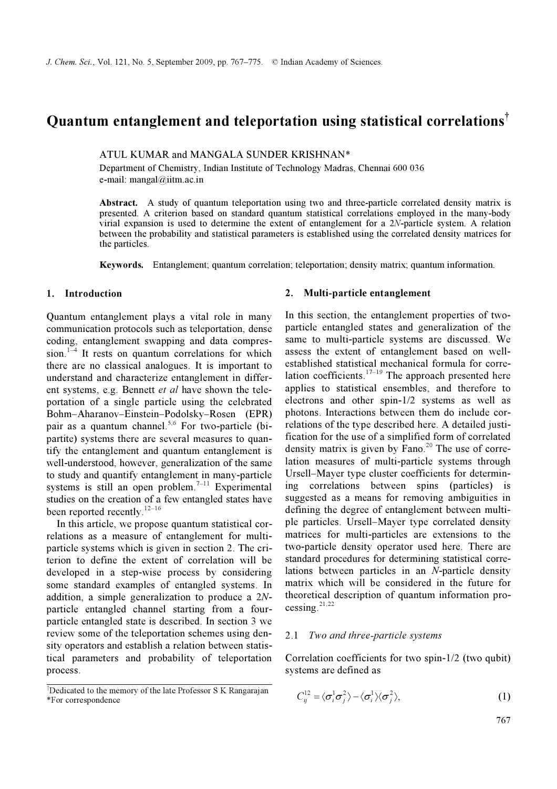# Quantum entanglement and teleportation using statistical correlations†

#### ATUL KUMAR and MANGALA SUNDER KRISHNAN\*

Department of Chemistry, Indian Institute of Technology Madras, Chennai 600 036 e-mail: mangal@iitm.ac.in

Abstract. A study of quantum teleportation using two and three-particle correlated density matrix is presented. A criterion based on standard quantum statistical correlations employed in the many-body virial expansion is used to determine the extent of entanglement for a 2N-particle system. A relation between the probability and statistical parameters is established using the correlated density matrices for the particles.

Keywords. Entanglement; quantum correlation; teleportation; density matrix; quantum information.

# 1. Introduction

Quantum entanglement plays a vital role in many communication protocols such as teleportation, dense coding, entanglement swapping and data compression.<sup>1–4</sup> It rests on quantum correlations for which there are no classical analogues. It is important to understand and characterize entanglement in different systems, e.g. Bennett et al have shown the teleportation of a single particle using the celebrated Bohm–Aharanov–Einstein–Podolsky–Rosen (EPR) pair as a quantum channel.<sup>5,6</sup> For two-particle (bipartite) systems there are several measures to quantify the entanglement and quantum entanglement is well-understood, however, generalization of the same to study and quantify entanglement in many-particle systems is still an open problem. $7-11$  Experimental studies on the creation of a few entangled states have been reported recently.<sup>12–16</sup>

 In this article, we propose quantum statistical correlations as a measure of entanglement for multiparticle systems which is given in section 2. The criterion to define the extent of correlation will be developed in a step-wise process by considering some standard examples of entangled systems. In addition, a simple generalization to produce a 2Nparticle entangled channel starting from a fourparticle entangled state is described. In section 3 we review some of the teleportation schemes using density operators and establish a relation between statistical parameters and probability of teleportation process.

## 2. Multi-particle entanglement

In this section, the entanglement properties of twoparticle entangled states and generalization of the same to multi-particle systems are discussed. We assess the extent of entanglement based on wellestablished statistical mechanical formula for correlation coefficients.<sup>17–19</sup> The approach presented here applies to statistical ensembles, and therefore to electrons and other spin-1/2 systems as well as photons. Interactions between them do include correlations of the type described here. A detailed justification for the use of a simplified form of correlated density matrix is given by Fano.<sup>20</sup> The use of correlation measures of multi-particle systems through Ursell–Mayer type cluster coefficients for determining correlations between spins (particles) is suggested as a means for removing ambiguities in defining the degree of entanglement between multiple particles. Ursell–Mayer type correlated density matrices for multi-particles are extensions to the two-particle density operator used here. There are standard procedures for determining statistical correlations between particles in an N-particle density matrix which will be considered in the future for theoretical description of quantum information processing. $^{21,22}$ 

#### 2.1 Two and three-particle systems

Correlation coefficients for two spin-1/2 (two qubit) systems are defined as

$$
C_{ij}^{12} = \langle \sigma_i^1 \sigma_j^2 \rangle - \langle \sigma_i^1 \rangle \langle \sigma_j^2 \rangle, \tag{1}
$$

767

<sup>†</sup> Dedicated to the memory of the late Professor S K Rangarajan \*For correspondence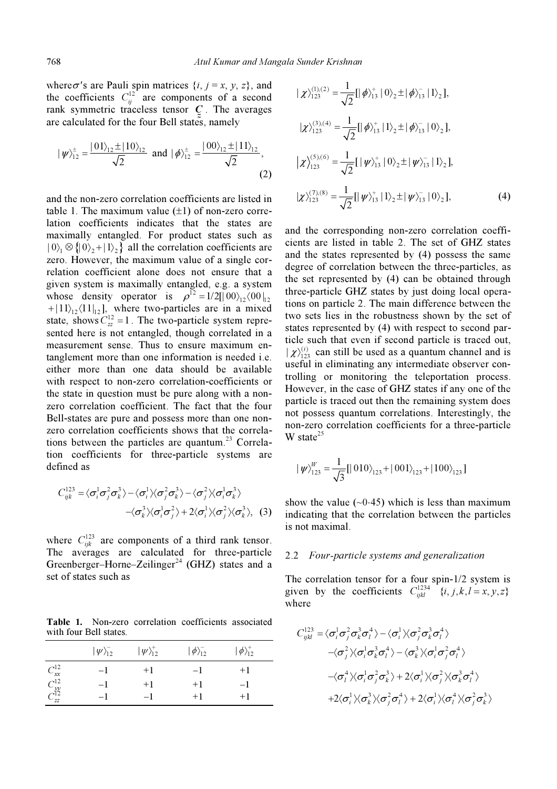where  $\sigma$ 's are Pauli spin matrices  $\{i, j = x, y, z\}$ , and the coefficients  $C_{ii}^{12}$  are components of a second where  $\sigma$ 's are Pauli spin matrices  $\{i_n\}$ <br>the coefficients  $C_{ij}^{12}$  are component rank symmetric traceless tensor  $\sigma$  are calculated for the four Bell states, namely rank symmetric traceless tensor  $C$ . The averages

$$
|\psi\rangle^{\pm}_{12} = \frac{|01\rangle_{12} \pm |10\rangle_{12}}{\sqrt{2}} \text{ and } |\phi\rangle^{\pm}_{12} = \frac{|00\rangle_{12} \pm |11\rangle_{12}}{\sqrt{2}},
$$
\n(2)

and the non-zero correlation coefficients are listed in table 1. The maximum value  $(\pm 1)$  of non-zero correlation coefficients indicates that the states are maximally entangled. For product states such as  $|0\rangle_1 \otimes \{ |0\rangle_2 + |1\rangle_2 \}$  all the correlation coefficients are zero. However, the maximum value of a single correlation coefficient alone does not ensure that a given system is maximally entangled, e.g. a system given system is maximally entangled, e.g. a system<br>whose density operator is  $\rho^{12} = 1/2[|00\rangle_{12}\langle 00|_{12}]$ + $|11\rangle_{12}\langle11|_{12}$ , where two-particles are in a mixed state, shows  $C_{zz}^{12} = 1$ . The two-particle system represented here is not entangled, though correlated in a measurement sense. Thus to ensure maximum entanglement more than one information is needed i.e. either more than one data should be available with respect to non-zero correlation-coefficients or the state in question must be pure along with a nonzero correlation coefficient. The fact that the four Bell-states are pure and possess more than one nonzero correlation coefficients shows that the correlations between the particles are quantum.<sup>23</sup> Correladefined as

tion coefficients for three-particle systems are  
defined as  

$$
C_{ijk}^{123} = \langle \sigma_i^1 \sigma_j^2 \sigma_k^3 \rangle - \langle \sigma_i^1 \rangle \langle \sigma_j^2 \sigma_k^3 \rangle - \langle \sigma_j^2 \rangle \langle \sigma_i^1 \sigma_k^3 \rangle - \langle \sigma_k^3 \rangle \langle \sigma_i^1 \sigma_j^2 \rangle + 2 \langle \sigma_i^1 \rangle \langle \sigma_j^2 \rangle \langle \sigma_k^3 \rangle, (3)
$$

where  $C_{ijk}^{123}$  are components of a third rank tensor. The averages are calculated for three-particle Greenberger–Horne–Zeilinger<sup>24</sup> (GHZ) states and a set of states such as

Table 1. Non-zero correlation coefficients associated with four Bell states.

|                                | $ \psi\rangle_{12}^-$ | $ \psi\rangle^+_{12}$ | $ \phi\rangle_{12}^{-}$ | $\ket{\phi}_{12}^+$ |
|--------------------------------|-----------------------|-----------------------|-------------------------|---------------------|
| $C_{xx}^{12}$                  | -1                    | $+1$                  | $-\mathbf{I}$           | $+1$                |
| $C_{yy}^{12}$<br>$C_{zz}^{12}$ | -1                    | $+1$                  | $+1$                    | -1                  |
|                                | — I                   | $-1$                  | $+1$                    | $+1$                |

$$
|\chi\rangle_{123}^{(1),(2)} = \frac{1}{\sqrt{2}}[|\phi\rangle_{13}^{+}|0\rangle_{2} \pm |\phi\rangle_{13}^{-}|1\rangle_{2}],
$$
  
\n
$$
|\chi\rangle_{123}^{(3),(4)} = \frac{1}{\sqrt{2}}[|\phi\rangle_{13}^{+}|1\rangle_{2} \pm |\phi\rangle_{13}^{-}|0\rangle_{2}],
$$
  
\n
$$
|\chi\rangle_{123}^{(5),(6)} = \frac{1}{\sqrt{2}}[|\psi\rangle_{13}^{+}|0\rangle_{2} \pm |\psi\rangle_{13}^{-}|1\rangle_{2}],
$$
  
\n
$$
|\chi\rangle_{123}^{(7),(8)} = \frac{1}{\sqrt{2}}[|\psi\rangle_{13}^{+}|1\rangle_{2} \pm |\psi\rangle_{13}^{-}|0\rangle_{2}],
$$
  
\n(4)

and the corresponding non-zero correlation coefficients are listed in table 2. The set of GHZ states and the states represented by (4) possess the same degree of correlation between the three-particles, as the set represented by (4) can be obtained through three-particle GHZ states by just doing local operations on particle 2. The main difference between the two sets lies in the robustness shown by the set of states represented by (4) with respect to second particle such that even if second particle is traced out,  $|\chi\rangle_{123}^{(i)}$  can still be used as a quantum channel and is useful in eliminating any intermediate observer controlling or monitoring the teleportation process. However, in the case of GHZ states if any one of the particle is traced out then the remaining system does not possess quantum correlations. Interestingly, the non-zero correlation coefficients for a three-particle W state<sup>25</sup>

$$
|\psi\rangle_{123}^W = \frac{1}{\sqrt{3}}[|010\rangle_{123} + |001\rangle_{123} + |100\rangle_{123}]
$$

show the value ( $\sim$ 0⋅45) which is less than maximum indicating that the correlation between the particles is not maximal.

### 2.2 Four-particle systems and generalization

The correlation tensor for a four spin-1/2 system is The correlation tensor for a four spin-1/2 system is<br>given by the coefficients  $C_{ikl}^{1234}$   $\{i, j, k, l = x, y, z\}$ where

given by the coefficients 
$$
C_{ijkl}
$$
  $\{l, J, k, l = x\}$ ,  
\nwhere  
\n
$$
C_{ijkl}^{123} = \langle \sigma_i^1 \sigma_j^2 \sigma_k^3 \sigma_l^4 \rangle - \langle \sigma_i^1 \rangle \langle \sigma_j^2 \sigma_k^3 \sigma_l^4 \rangle
$$
\n
$$
-\langle \sigma_j^2 \rangle \langle \sigma_i^1 \sigma_k^3 \sigma_l^4 \rangle - \langle \sigma_k^3 \rangle \langle \sigma_i^1 \sigma_j^2 \sigma_l^4 \rangle
$$
\n
$$
-\langle \sigma_l^4 \rangle \langle \sigma_i^1 \sigma_j^2 \sigma_k^3 \rangle + 2 \langle \sigma_i^1 \rangle \langle \sigma_j^2 \rangle \langle \sigma_k^3 \sigma_l^4 \rangle
$$
\n
$$
+ 2 \langle \sigma_i^1 \rangle \langle \sigma_k^3 \rangle \langle \sigma_j^2 \sigma_l^4 \rangle + 2 \langle \sigma_i^1 \rangle \langle \sigma_l^4 \rangle \langle \sigma_j^2 \sigma_k^3 \rangle
$$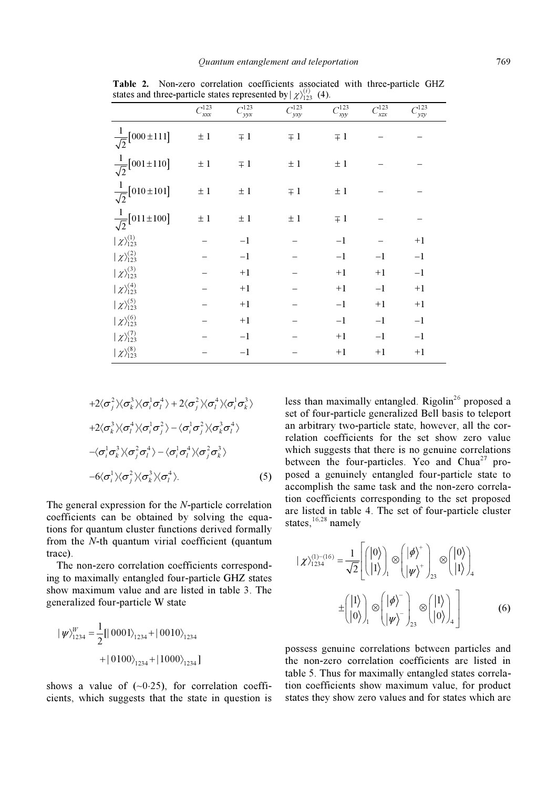|                                   |                  |                 | $\cdots \cdots$            |                 |                           |                   |
|-----------------------------------|------------------|-----------------|----------------------------|-----------------|---------------------------|-------------------|
|                                   | $C^{123}$<br>xxx | $C_{yyx}^{123}$ | $\mathcal{C}^{123}$<br>yxy | $C_{xyy}^{123}$ | $\neg$ 123<br>$\chi_{ZX}$ | $\neg$ 123<br>yzy |
| $\frac{1}{\sqrt{2}}[000 \pm 111]$ | $\pm$ 1          | $\mp$ 1         | $\mp 1$                    | $\mp 1$         |                           |                   |
| $\frac{1}{\sqrt{2}}[001 \pm 110]$ | $\pm$ 1          | $\mp$ 1         | $\pm$ 1                    | $\pm$ 1         |                           |                   |
| $\frac{1}{\sqrt{2}}[010\pm101]$   | $\pm$ 1          | $\pm$ 1         | $\mp 1$                    | $\pm$ 1         |                           |                   |
| $\frac{1}{\sqrt{2}}[011\pm100]$   | $\pm$ 1          | $\pm$ 1         | $\pm$ 1                    | $\mp 1$         |                           |                   |
| $ \chi\rangle_{123}^{(1)}$        |                  | $-1$            |                            | $-1$            |                           | $+1$              |
| $ \chi\rangle_{123}^{(2)}$        |                  | $-1$            |                            | $-1$            | $-1$                      | $^{\rm -1}$       |
| $ \chi\rangle^{(3)}_{123}$        |                  | $+1$            |                            | $+1$            | $+1$                      | $-1$              |
| $ \chi\rangle_{123}^{(4)}$        |                  | $+1$            |                            | $+1$            | $-1$                      | $+1$              |
| $ \chi\rangle_{123}^{(5)}$        |                  | $+1$            |                            | $-1$            | $+1$                      | $+1$              |
| $ \chi\rangle_{123}^{(6)}$        |                  | $+1$            |                            | $-1$            | $-1$                      | $-1$              |
| $ \chi\rangle^{(7)}_{123}$        |                  | $-1$            |                            | $+1$            | $-1$                      | $^{\rm -1}$       |
| $ \chi\rangle_{123}^{(8)}$        |                  | $-1$            |                            | $+1$            | $+1$                      | $+1$              |

Table 2. Non-zero correlation coefficients associated with three-particle GHZ states and three-particle states represented by  $\chi_{123}^{(i)}$  (4).

$$
+2\langle \sigma_j^2 \rangle \langle \sigma_k^3 \rangle \langle \sigma_i^1 \sigma_l^4 \rangle + 2\langle \sigma_j^2 \rangle \langle \sigma_l^4 \rangle \langle \sigma_i^1 \sigma_k^3 \rangle
$$
  
+2\langle \sigma\_k^3 \rangle \langle \sigma\_l^4 \rangle \langle \sigma\_i^1 \sigma\_j^2 \rangle - \langle \sigma\_i^1 \sigma\_j^2 \rangle \langle \sigma\_k^3 \sigma\_l^4 \rangle  
-\langle \sigma\_i^1 \sigma\_k^3 \rangle \langle \sigma\_j^2 \sigma\_l^4 \rangle - \langle \sigma\_i^1 \sigma\_l^4 \rangle \langle \sigma\_j^2 \sigma\_k^3 \rangle  
-6\langle \sigma\_i^1 \rangle \langle \sigma\_j^2 \rangle \langle \sigma\_k^3 \rangle \langle \sigma\_l^4 \rangle. (5)

The general expression for the N-particle correlation coefficients can be obtained by solving the equations for quantum cluster functions derived formally from the N-th quantum virial coefficient (quantum trace).

 The non-zero correlation coefficients corresponding to maximally entangled four-particle GHZ states show maximum value and are listed in table 3. The generalized four-particle W state

$$
\begin{aligned} |\psi\rangle_{1234}^W &= \frac{1}{2} [|\hspace{.06cm} 0001\rangle_{1234} + |\hspace{.06cm} 0010\rangle_{1234} \\ &+ |\hspace{.06cm} 0100\rangle_{1234} + |\hspace{.06cm} 1000\rangle_{1234}] \end{aligned}
$$

shows a value of  $(-0.25)$ , for correlation coefficients, which suggests that the state in question is less than maximally entangled. Rigolin<sup>26</sup> proposed a set of four-particle generalized Bell basis to teleport an arbitrary two-particle state, however, all the correlation coefficients for the set show zero value which suggests that there is no genuine correlations between the four-particles. Yeo and  $Chua^{27}$  proposed a genuinely entangled four-particle state to accomplish the same task and the non-zero correlation coefficients corresponding to the set proposed are listed in table 4. The set of four-particle cluster states,  $16,28$  namely

$$
|\chi\rangle_{1234}^{(1)-(16)} = \frac{1}{\sqrt{2}} \left[ \begin{pmatrix} |0\rangle \\ |1\rangle \end{pmatrix}_{1} \otimes \begin{pmatrix} |\phi\rangle^{+} \\ |\psi\rangle^{+} \end{pmatrix}_{23} \otimes \begin{pmatrix} |0\rangle \\ |1\rangle \end{pmatrix}_{4} \right]
$$

$$
\pm \begin{pmatrix} |1\rangle \\ |0\rangle \end{pmatrix}_{1} \otimes \begin{pmatrix} |\phi\rangle^{-} \\ |\psi\rangle^{-} \end{pmatrix}_{23} \otimes \begin{pmatrix} |1\rangle \\ |0\rangle \end{pmatrix}_{4} \right]
$$
(6)

possess genuine correlations between particles and the non-zero correlation coefficients are listed in table 5. Thus for maximally entangled states correlation coefficients show maximum value, for product states they show zero values and for states which are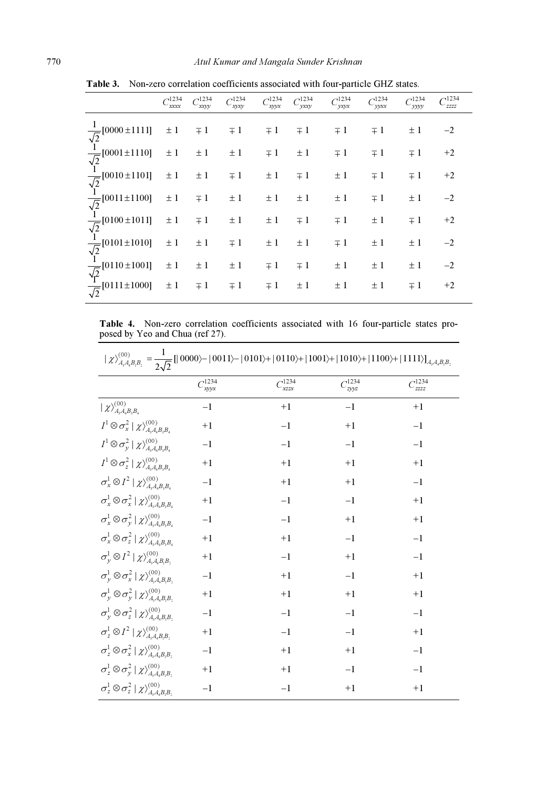|                                                                                                                                                                                                                                                                                            | $C_{xxxx}^{1234}$ | $C_{\text{xxyy}}^{1234}$ | $C_{\text{xyxy}}^{1234}$ | $C_{\text{xyyx}}^{1234}$                | $C_{\text{yxxy}}^{1234}$ | $C_{\text{y}\text{xy}\text{x}}^{1234}$ | $C_{\text{yyxx}}^{1234}$ | ←1234<br>∽уууу |      |
|--------------------------------------------------------------------------------------------------------------------------------------------------------------------------------------------------------------------------------------------------------------------------------------------|-------------------|--------------------------|--------------------------|-----------------------------------------|--------------------------|----------------------------------------|--------------------------|----------------|------|
| $\frac{1}{\sqrt{2}}[0000 \pm 1111] \pm 1 \mp 1 \mp 1 \mp 1 \mp 1 \pm 1]$<br>$\frac{1}{\sqrt{2}}[0001 \pm 1110] \pm 1 \pm 1 \pm 1 \mp 1 \pm 1]$<br>$\frac{1}{\sqrt{2}}[0010 \pm 1101] \pm 1 \pm 1 \mp 1 \pm 1 \mp 1]$<br>$\frac{1}{\sqrt{2}}[0011 \pm 1100] \pm 1 \mp 1 \pm 1 \pm 1 \pm 1]$ |                   |                          |                          |                                         |                          | $\mp 1$                                | $\mp 1$                  | $\pm$ 1        | $-2$ |
|                                                                                                                                                                                                                                                                                            |                   |                          |                          |                                         | $\pm 1$                  | $\mp 1$                                | $\mp 1$                  | $\mp 1$        | $+2$ |
|                                                                                                                                                                                                                                                                                            |                   |                          |                          |                                         | $\pm 1$ $\mp 1$          | $\pm 1$                                | $\mp 1$                  | $\mp 1$        | $+2$ |
|                                                                                                                                                                                                                                                                                            |                   |                          |                          |                                         | $\pm 1$ $\pm 1$ $\pm 1$  | $\pm$ 1                                | $\mp 1$                  | $\pm 1$        | $-2$ |
| $\frac{1}{\sqrt{2}}$ [0100±1011] ± 1 = 1                                                                                                                                                                                                                                                   |                   |                          |                          | $\pm\, 1 \qquad \pm\, 1 \qquad \mp\, 1$ |                          | $\mp 1$                                | $\pm$ 1                  | $\mp 1$        | $+2$ |
|                                                                                                                                                                                                                                                                                            |                   |                          |                          | $\pm 1$                                 | $\pm$ 1                  | $\mp 1$                                | $\pm$ 1                  | $\pm 1$        | $-2$ |
|                                                                                                                                                                                                                                                                                            |                   |                          |                          | $\mp 1$                                 | $\mp 1$                  | $\pm 1$                                | $\pm 1$                  | $\pm 1$        | $-2$ |
| $\frac{1}{\sqrt{2}}$ [0101±1010] ± 1 ± 1 = 1<br>$\frac{1}{\sqrt{2}}$ [0110±1001] ± 1 ± 1 ± 1<br>$\frac{\sqrt{2}}{\sqrt{2}}$ [0111±1000] ± 1 = 1 = 1                                                                                                                                        |                   |                          |                          | $\mp 1$                                 | $\pm 1$                  | $\pm 1$                                | $\pm$ 1                  | $\mp 1$        | $+2$ |

Table 3. Non-zero correlation coefficients associated with four-particle GHZ states.

Table 4. Non-zero correlation coefficients associated with 16 four-particle states proposed by Yeo and Chua (ref 27).

| $ \chi\rangle_{A_3A_4B_1B_2}^{(00)} = \frac{1}{2\sqrt{2}}[ 0000\rangle -  0011\rangle -  0101\rangle +  0110\rangle +  1001\rangle +  1010\rangle +  1100\rangle +  1111\rangle]_{A_3A_4B_1B_2}$ |                     |                          |                          |                   |  |  |
|--------------------------------------------------------------------------------------------------------------------------------------------------------------------------------------------------|---------------------|--------------------------|--------------------------|-------------------|--|--|
|                                                                                                                                                                                                  | $\frac{1234}{xyyx}$ | $C_{\text{xzzx}}^{1234}$ | $C_{\text{zyyz}}^{1234}$ | $C_{zzzz}^{1234}$ |  |  |
| $\mid \chi\rangle_{A_{\scriptscriptstyle 3} A_{\scriptscriptstyle 4} B_{\scriptscriptstyle 3} B_{\scriptscriptstyle 4}}^{(00)}$                                                                  | $-1$                | $+1$                     | $-1$                     | $+1$              |  |  |
| $I^1\mathop{\otimes} \sigma^2_x \mathop{\downharpoonright} \chi\rangle^{(00)}_{A_{\rm s}A_{\rm 4}B_{\rm 3}B_{\rm 4}}$                                                                            | $+1$                | $-1$                     | $+1$                     | $-1$              |  |  |
| $I^1\mathop{\otimes} \sigma^2_{\mathop{\mathcal{Y}}\nolimits} \mid \mathop{\mathcal{X}}\nolimits_{A_{\rm a} A_{\rm a} B_{\rm b} B_{\rm a}}^{(00)}$                                               | $-1$                | $-1$                     | $-1$                     | $-1$              |  |  |
| $I^1\mathop{\otimes} \sigma^2_z\mid\chi\rangle^{(00)}_{A_{\rm s}A_{\rm s}B_{\rm s}B_{\rm s}}$                                                                                                    | $+1$                | $+1$                     | $+1$                     | $+1$              |  |  |
| $\sigma_x^1 \otimes I^2 \mid \chi\rangle_{A_{\rm a}A_{\rm a}B_{\rm a}B_{\rm a}}^{(00)}$                                                                                                          | $-1$                | $+1$                     | $+1$                     | $-1$              |  |  |
| $\sigma^1_x \otimes \sigma^2_x \mid \chi\rangle_{A_{\rm s}A_{\rm s}B_{\rm s}B_{\rm s}}^{(00)}$                                                                                                   | $+1$                | $-1$                     | $-1$                     | $+1$              |  |  |
| $\sigma^1_x \otimes \sigma^2_y \, \, \chi\rangle^{(00)}_{A_{\rm s}A_{\rm s}B_{\rm s}B_{\rm s}}$                                                                                                  | $-1$                | $-1$                     | $+1$                     | $+1$              |  |  |
| $\sigma^1_x \otimes \sigma^2_z \mid \chi\rangle^{(00)}_{A_{\rm s}A_{\rm s}B_{\rm s}B_{\rm s}}$                                                                                                   | $+1$                | $+1$                     | $-1$                     | $-1$              |  |  |
| $\sigma_v^1 \otimes I^2   \chi \rangle_{A,A,B,B}^{(00)}$                                                                                                                                         | $+1$                | $-1$                     | $+1$                     | $-1$              |  |  |
| $\sigma_v^1\otimes\sigma_x^2\mid\chi\rangle_{A_{\rm s}A_{\rm s}B_{\rm r}B_{\rm s}}^{(00)}$                                                                                                       | $-1$                | $+1$                     | $-1$                     | $+1$              |  |  |
| $\sigma_v^1 \otimes \sigma_v^2   \chi \rangle_{A,A,B,B}^{(00)}$                                                                                                                                  | $+1$                | $+1$                     | $+1$                     | $+1$              |  |  |
| $\sigma_{v}^{1}\otimes\sigma_{z}^{2}\mid\chi\rangle_{A_{z}A_{z}B_{z}B_{z}}^{(00)}$                                                                                                               | $-1$                | $-1$                     | $-1$                     | $-1$              |  |  |
| $\sigma_z^1 \otimes I^2 \mid \chi \rangle_{A,A,B,B}^{(00)}$                                                                                                                                      | $+1$                | $-1$                     | $-1$                     | $+1$              |  |  |
| $\sigma_z^1\otimes\sigma_x^2\mid\chi\rangle_{A_{\rm s}A_{\rm s}B_{\rm r}}^{(00)}$                                                                                                                | $-1$                | $+1$                     | $+1$                     | $-1$              |  |  |
| $\sigma_{z}^{1}\otimes\sigma_{y}^{2}\mid\chi\rangle_{A_{z}A_{z}B_{z}}^{(00)}$                                                                                                                    | $+1$                | $+1$                     | $-1$                     | $-1$              |  |  |
| $\sigma_z^1 \otimes \sigma_z^2 \mid \chi\rangle_{A,A_aB,B}^{(00)},$                                                                                                                              | $-1$                | $-1$                     | $+1$                     | $+1$              |  |  |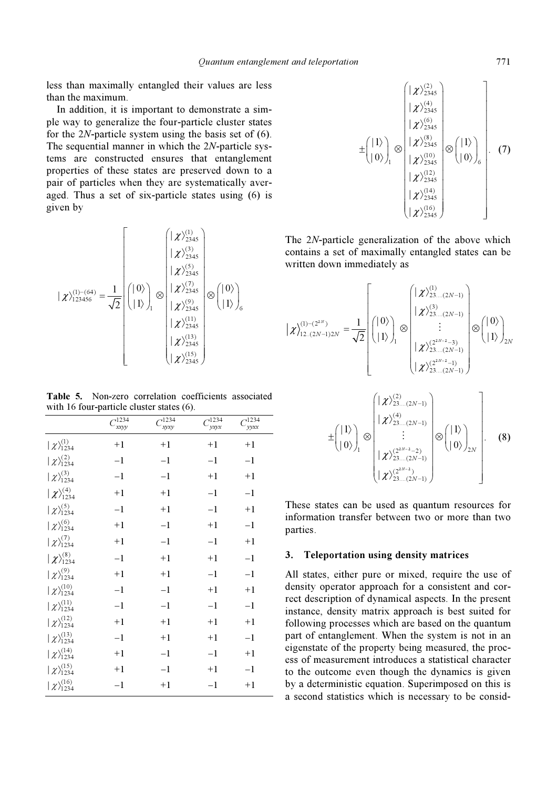less than maximally entangled their values are less than the maximum.

 In addition, it is important to demonstrate a simple way to generalize the four-particle cluster states for the 2N-particle system using the basis set of (6). The sequential manner in which the 2N-particle systems are constructed ensures that entanglement properties of these states are preserved down to a pair of particles when they are systematically averaged. Thus a set of six-particle states using (6) is given by

$$
|\chi\rangle_{123456}^{(1)-(64)} = \frac{1}{\sqrt{2}} \begin{pmatrix} | \chi \rangle_{2345}^{(1)} \\ | \chi \rangle_{2345}^{(3)} \\ | 1 \rangle \\ | 1 \rangle \end{pmatrix}_{1} \otimes \begin{pmatrix} |\chi\rangle_{2345}^{(3)} \\ |\chi\rangle_{2345}^{(7)} \\ |\chi\rangle_{2345}^{(8)} \\ |\chi\rangle_{2345}^{(9)} \\ |\chi\rangle_{2345}^{(11)} \\ |\chi\rangle_{2345}^{(13)} \\ |\chi\rangle_{2345}^{(15)} \end{pmatrix} \otimes \begin{pmatrix} | \ 0 \rangle \\ | 1 \rangle \\ | 1 \rangle \\ |\chi\rangle_{2345}^{(15)} \\ |\chi\rangle_{2345}^{(15)} \end{pmatrix}
$$

Table 5. Non-zero correlation coefficients associated with 16 four-particle cluster states (6).

|                              | $\frac{1234}{xxyy}$ | 1234<br>xyxy | $C_{yxyx}^{1234}$ | 1234<br>$\mathcal{V}\mathcal{V}\mathcal{X}\mathcal{X}$ |
|------------------------------|---------------------|--------------|-------------------|--------------------------------------------------------|
| $ \chi\rangle_{1234}^{(1)}$  | $+1$                | $+1$         | $+1$              | $+1$                                                   |
| $ \chi\rangle_{1234}^{(2)}$  | $-1$                | $-1$         | $-1$              | $-1$                                                   |
| $ \chi\rangle_{1234}^{(3)}$  | $-1$                | $-1$         | $+1$              | $+1$                                                   |
| $ \chi\rangle_{1234}^{(4)}$  | $+1$                | $+1$         | $-1$              | $-1$                                                   |
| $ \chi\rangle_{1234}^{(5)}$  | $-1$                | $+1$         | $-1$              | $+1$                                                   |
| $ \chi\rangle_{1234}^{(6)}$  | $+1$                | $-1$         | $+1$              | $-1$                                                   |
| $ \chi\rangle_{1234}^{(7)}$  | $+1$                | $-1$         | $-1$              | $+1$                                                   |
| $ \chi\rangle_{1234}^{(8)}$  | $-1$                | $+1$         | $+1$              | $-1$                                                   |
| $ \chi\rangle_{1234}^{(9)}$  | $+1$                | $+1$         | $-1$              | $-1$                                                   |
| $ \chi\rangle_{1234}^{(10)}$ | $-1$                | $-1$         | $+1$              | $+1$                                                   |
| $ \chi\rangle_{1234}^{(11)}$ | $-1$                | $-1$         | $-1$              | $-1$                                                   |
| $ \chi\rangle_{1234}^{(12)}$ | $+1$                | $+1$         | $+1$              | $+1$                                                   |
| $ \chi\rangle_{1234}^{(13)}$ | $-1$                | $+1$         | $+1$              | $-1$                                                   |
| $ \chi\rangle_{1234}^{(14)}$ | $+1$                | $-1$         | $-1$              | $+1$                                                   |
| $ \chi\rangle_{1234}^{(15)}$ | $+1$                | $-1$         | $+1$              | $-1$                                                   |
| $ \chi\rangle_{1234}^{(16)}$ | $-1$                | $+1$         | $-1$              | $+1$                                                   |

$$
\pm \begin{pmatrix} | & \chi \rangle_{2345}^{(2)} \\ | & \chi \rangle_{2345}^{(4)} \\ | & \chi \rangle_{2345}^{(6)} \\ | & \chi \rangle_{2345}^{(8)} \\ | & \chi \rangle_{2345}^{(10)} \\ | & \chi \rangle_{2345}^{(21)} \\ | & \chi \rangle_{2345}^{(22)} \\ | & \chi \rangle_{2345}^{(23)} \\ | & \chi \rangle_{2345}^{(14)} \\ | & \chi \rangle_{2345}^{(16)} \end{pmatrix}. \quad (7)
$$

The 2N-particle generalization of the above which contains a set of maximally entangled states can be written down immediately as

$$
|\chi_{12...(2N-1)2N}^{(1)-(2^{2N})} = \frac{1}{\sqrt{2}} \begin{pmatrix} | \vartheta \rangle \\ | \vartheta \rangle \\ | 1 \rangle \end{pmatrix}_{1} \otimes \begin{pmatrix} |\chi_{23...(2N-1)}^{(1)} \\ |\chi_{23...(2N-1)}^{(3)} \\ \vdots \\ |\chi_{23...(2N-1)}^{(2^{2N-2}-3)} \\ |\chi_{23...(2N-1)}^{(2^{2N-2}-1)} \end{pmatrix} \otimes \begin{pmatrix} | \vartheta \rangle \\ | 1 \rangle \end{pmatrix}_{2N}
$$

$$
\pm \begin{pmatrix} | \vartheta \rangle \\ | 0 \rangle \end{pmatrix}_{1} \otimes \begin{pmatrix} |\chi_{23...(2N-1)}^{(2)} \\ |\chi_{23...(2N-1)}^{(2^{2N-2}-1)} \\ \vdots \\ |\chi_{23...(2N-1)}^{(4)} \end{pmatrix} \otimes \begin{pmatrix} | \vartheta \rangle \\ | 0 \rangle \end{pmatrix}_{2N}, \qquad (8)
$$

$$
\pm \begin{pmatrix} |1\rangle \\ |0\rangle \end{pmatrix}_{1} \otimes \begin{pmatrix} |\lambda^{r}\lambda_{2}^{2}...,(2N-1) \\ \vdots \\ |\lambda^{r}\lambda_{2}^{(2^{2N-2}-2)} \\ |\lambda^{r}\lambda_{23}^{(2^{2N-2})} \\ \vdots \\ |\lambda^{r}\lambda_{23}^{(2^{2N-2})} \end{pmatrix} \otimes \begin{pmatrix} |1\rangle \\ |0\rangle \end{pmatrix}_{2N} .
$$
 (8)

These states can be used as quantum resources for information transfer between two or more than two parties.

#### 3. Teleportation using density matrices

All states, either pure or mixed, require the use of density operator approach for a consistent and correct description of dynamical aspects. In the present instance, density matrix approach is best suited for following processes which are based on the quantum part of entanglement. When the system is not in an eigenstate of the property being measured, the process of measurement introduces a statistical character to the outcome even though the dynamics is given by a deterministic equation. Superimposed on this is a second statistics which is necessary to be consid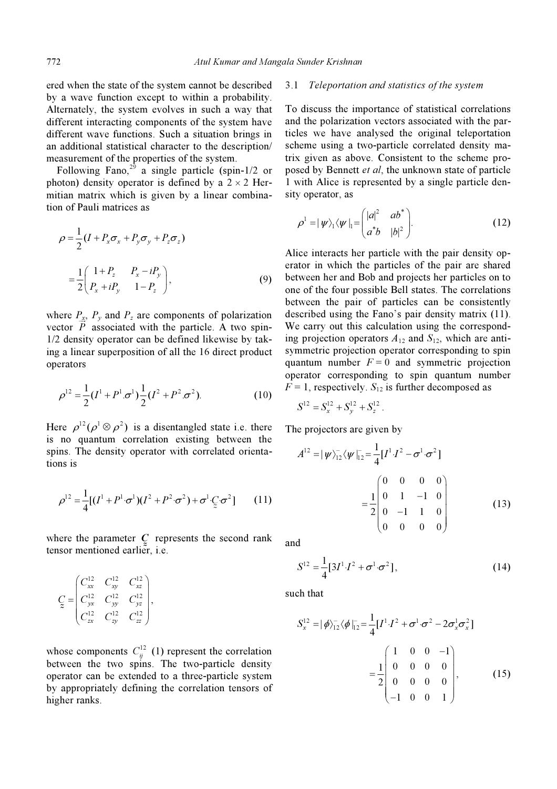ered when the state of the system cannot be described by a wave function except to within a probability. Alternately, the system evolves in such a way that different interacting components of the system have different wave functions. Such a situation brings in an additional statistical character to the description/ measurement of the properties of the system.

Following Fano,<sup>29</sup> a single particle (spin-1/2 or photon) density operator is defined by a  $2 \times 2$  Hermitian matrix which is given by a linear combination of Pauli matrices as

$$
\rho = \frac{1}{2} (I + P_x \sigma_x + P_y \sigma_y + P_z \sigma_z)
$$
  
= 
$$
\frac{1}{2} \begin{pmatrix} 1 + P_z & P_x - iP_y \\ P_x + iP_y & 1 - P_z \end{pmatrix},
$$
 (9)

where  $P_x$ ,  $P_y$  and  $P_z$  are components of polarization vector  $\vec{P}$  associated with the particle. A two spin-1/2 density operator can be defined likewise by taking a linear superposition of all the 16 direct product operators

$$
\rho^{12} = \frac{1}{2}(I^1 + P^1.\sigma^1)\frac{1}{2}(I^2 + P^2.\sigma^2). \tag{10}
$$

Here  $\rho^{12} (\rho^1 \otimes \rho^2)$  is a disentangled state i.e. there is no quantum correlation existing between the spins. The density operator with correlated orienta-<br>tions is<br> $\rho^{12} = \frac{1}{4} [(I^1 + P^1 \sigma^1)(I^2 + P^2 \sigma^2) + \sigma^1 \mathcal{Q} \sigma^2]$  (11) tions is

$$
\rho^{12} = \frac{1}{4} [(I^1 + P^1 \cdot \sigma^1)(I^2 + P^2 \cdot \sigma^2) + \sigma^1 \cdot Q^1 \cdot \sigma^2]
$$
 (11)  
where the parameter *Q* represents the second rank

tensor mentioned earlier, i.e.

$$
C_{z} = \begin{pmatrix} C_{xx}^{12} & C_{xy}^{12} & C_{xz}^{12} \\ C_{yx}^{12} & C_{yy}^{12} & C_{yz}^{12} \\ C_{zx}^{12} & C_{zy}^{12} & C_{zz}^{12} \end{pmatrix},
$$

whose components  $C_{ii}^{12}$  (1) represent the correlation between the two spins. The two-particle density operator can be extended to a three-particle system by appropriately defining the correlation tensors of higher ranks.

#### 3.1 Teleportation and statistics of the system

To discuss the importance of statistical correlations and the polarization vectors associated with the particles we have analysed the original teleportation scheme using a two-particle correlated density matrix given as above. Consistent to the scheme proposed by Bennett et al, the unknown state of particle 1 with Alice is represented by a single particle density operator, as

$$
\rho^1 = |\psi\rangle_1 \langle \psi|_1 = \begin{pmatrix} |a|^2 & ab^* \\ a^*b & |b|^2 \end{pmatrix} . \tag{12}
$$

Alice interacts her particle with the pair density operator in which the particles of the pair are shared between her and Bob and projects her particles on to one of the four possible Bell states. The correlations between the pair of particles can be consistently described using the Fano's pair density matrix (11). We carry out this calculation using the corresponding projection operators  $A_{12}$  and  $S_{12}$ , which are antisymmetric projection operator corresponding to spin quantum number  $F = 0$  and symmetric projection operator corresponding to spin quantum number  $F = 1$ , respectively.  $S_{12}$  is further decomposed as

$$
S^{12} = S_x^{12} + S_y^{12} + S_z^{12}.
$$

The projectors are given by

$$
S^{12} = S_x^{12} + S_y^{12} + S_z^{12}.
$$
  
\ne projectors are given by  
\n
$$
A^{12} = |\psi\rangle_{12}^- \langle \psi|_{12}^- = \frac{1}{4} [I^1 \cdot I^2 - \sigma^1 \cdot \sigma^2]
$$
\n
$$
= \frac{1}{2} \begin{pmatrix} 0 & 0 & 0 & 0 \\ 0 & 1 & -1 & 0 \\ 0 & -1 & 1 & 0 \\ 0 & 0 & 0 & 0 \end{pmatrix}
$$
\n(13)

and

$$
S^{12} = \frac{1}{4} [3I^1 \cdot I^2 + \sigma^1 \cdot \sigma^2],
$$
 (14)

such that

$$
S_x^{12} = |\phi\rangle_{12}^- \langle \phi|_{12}^- = \frac{1}{4} [I^1 \cdot I^2 + \sigma^1 \cdot \sigma^2 - 2\sigma_x^1 \sigma_x^2]
$$
  

$$
= \frac{1}{2} \begin{bmatrix} 1 & 0 & 0 & -1 \\ 0 & 0 & 0 & 0 \\ 0 & 0 & 0 & 0 \\ -1 & 0 & 0 & 1 \end{bmatrix}, \qquad (15)
$$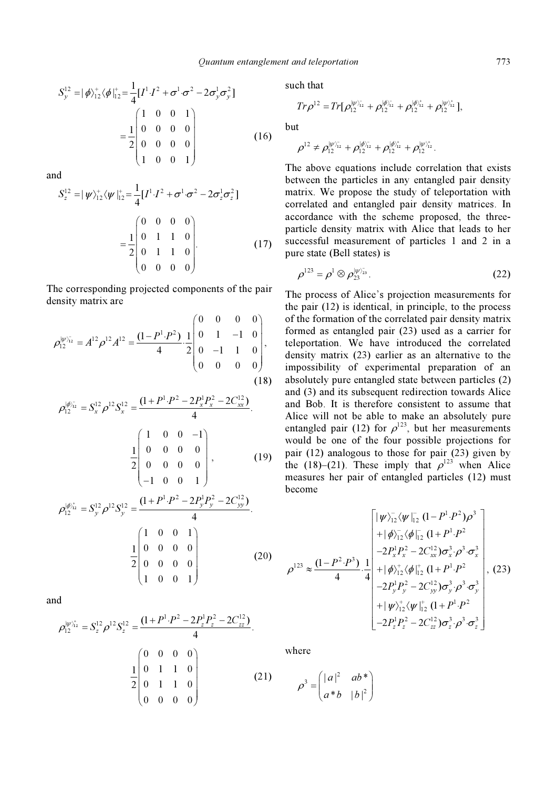$$
S_{y}^{12} = |\phi\rangle_{12}^{+}\langle\phi|_{12}^{+} = \frac{1}{4}[I^{1}\cdot I^{2} + \sigma^{1}\cdot\sigma^{2} - 2\sigma_{y}^{1}\sigma_{y}^{2}]
$$
  

$$
= \frac{1}{2}\begin{pmatrix} 1 & 0 & 0 & 1 \\ 0 & 0 & 0 & 0 \\ 0 & 0 & 0 & 0 \\ 1 & 0 & 0 & 1 \end{pmatrix}
$$
(16)

and

$$
S_z^{12} = |\psi\rangle_{12}^+ \langle \psi |_{12}^+ = \frac{1}{4} [I^1 \cdot I^2 + \sigma^1 \cdot \sigma^2 - 2\sigma_z^1 \sigma_z^2]
$$
  
= 
$$
\frac{1}{2} \begin{pmatrix} 0 & 0 & 0 & 0 \\ 0 & 1 & 1 & 0 \\ 0 & 1 & 1 & 0 \\ 0 & 0 & 0 & 0 \end{pmatrix} .
$$
 (17)

The corresponding projected components of the pair density matrix are

$$
\rho_{12}^{|\psi\rangle_{12}^{-}} = A^{12} \rho^{12} A^{12} = \frac{(1 - P^{1} \cdot P^{2})}{4} \cdot \frac{1}{2} \begin{pmatrix} 0 & 0 & 0 & 0 \\ 0 & 1 & -1 & 0 \\ 0 & -1 & 1 & 0 \\ 0 & 0 & 0 & 0 \end{pmatrix},
$$
\n(18)

$$
\rho_{12}^{|\phi\rangle_{12}} = S_x^{12} \rho^{12} S_x^{12} = \frac{(1+P^1 \cdot P^2 - 2P_x^1 P_x^2 - 2C_{xx}^{12})}{4}.
$$
\n
$$
\frac{1}{2} \begin{bmatrix} 1 & 0 & 0 & -1 \\ 0 & 0 & 0 & 0 \\ 0 & 0 & 0 & 0 \\ -1 & 0 & 0 & 1 \end{bmatrix},
$$
\n
$$
\rho_{12}^{|\phi\rangle_{12}^+} = S_y^{12} \rho^{12} S_y^{12} = \frac{(1+P^1 \cdot P^2 - 2P_y^1 P_y^2 - 2C_{yy}^{12})}{4}.
$$
\n(1, 0, 0, 1)

$$
\frac{1}{2} \begin{pmatrix} 1 & 0 & 0 & 1 \\ 0 & 0 & 0 & 0 \\ 0 & 0 & 0 & 0 \\ 1 & 0 & 0 & 1 \end{pmatrix}
$$
 (20)

and

$$
\rho_{12}^{|\psi\rangle_{12}^+} = S_z^{12} \rho^{12} S_z^{12} = \frac{(1+P^1 \cdot P^2 - 2P_z^1 P_z^2 - 2C_{zz}^{12})}{4}.
$$

$$
= \frac{1}{2} \begin{pmatrix} 0 & 0 & 0 & 0 \\ 0 & 1 & 1 & 0 \\ 0 & 1 & 1 & 0 \\ 0 & 0 & 0 & 0 \end{pmatrix}
$$
(21)

such that

ch that  
\n
$$
Tr \rho^{12} = Tr[\rho_{12}^{|\psi\rangle_{12}} + \rho_{12}^{|\phi\rangle_{12}} + \rho_{12}^{|\phi\rangle_{12}} + \rho_{12}^{|\psi\rangle_{12}}],
$$

but

$$
\rho^{12} \neq \rho_{12}^{|\psi\rangle_{12}^{-}} + \rho_{12}^{|\phi\rangle_{12}^{-}} + \rho_{12}^{|\phi\rangle_{12}^{+}} + \rho_{12}^{|\psi\rangle_{12}^{+}}.
$$

The above equations include correlation that exists between the particles in any entangled pair density matrix. We propose the study of teleportation with correlated and entangled pair density matrices. In accordance with the scheme proposed, the threeparticle density matrix with Alice that leads to her successful measurement of particles 1 and 2 in a

pure state (Bell states) is  
\n
$$
\rho^{123} = \rho^1 \otimes \rho_{23}^{|\psi\rangle_{23}^{\tau}}.
$$
\n(22)

The process of Alice's projection measurements for the pair (12) is identical, in principle, to the process of the formation of the correlated pair density matrix formed as entangled pair (23) used as a carrier for teleportation. We have introduced the correlated density matrix (23) earlier as an alternative to the impossibility of experimental preparation of an absolutely pure entangled state between particles (2) and (3) and its subsequent redirection towards Alice and Bob. It is therefore consistent to assume that Alice will not be able to make an absolutely pure entangled pair (12) for  $\rho^{123}$ , but her measurements would be one of the four possible projections for pair (12) analogous to those for pair (23) given by the (18)–(21). These imply that  $\rho^{123}$  when Alice measures her pair of entangled particles (12) must become

$$
\rho^{123} \approx \frac{(1 - P^2 \cdot P^3)}{4} \cdot \frac{1}{4} \begin{bmatrix} |\psi\rangle_{12}^-(\psi|_{12}^-(1 - P^1 \cdot P^2) \rho^3 \\ + |\phi\rangle_{12}^-(\phi|_{12}^-(1 + P^1 \cdot P^2) \\ -2P_x^1 P_x^2 - 2C_{xx}^{12}) \sigma_x^3 \cdot \rho^3 \cdot \sigma_x^3 \\ + |\phi\rangle_{12}^+( \phi|_{12}^+(1 + P^1 \cdot P^2) \\ -2P_y^1 P_y^2 - 2C_{yy}^{12}) \sigma_y^3 \cdot \rho^3 \cdot \sigma_y^3 \\ + |\psi\rangle_{12}^+( \psi|_{12}^+(1 + P^1 \cdot P^2) \\ -2P_z^1 P_z^2 - 2C_{zz}^{12}) \sigma_z^3 \cdot \rho^3 \cdot \sigma_z^3 \end{bmatrix},
$$
(23)

where

$$
\rho^3 = \begin{pmatrix} |a|^2 & ab^* \\ a^*b & |b|^2 \end{pmatrix}
$$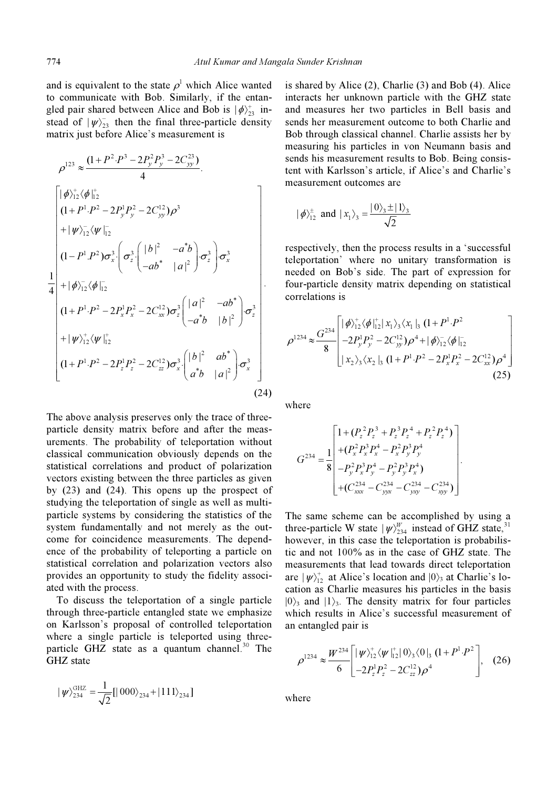and is equivalent to the state  $\rho^1$  which Alice wanted to communicate with Bob. Similarly, if the entangled pair shared between Alice and Bob is  $|\phi\rangle^+_{23}$  inand is equivale<br>to communica<br>gled pair share<br>stead of  $|\psi\rangle_{23}^{\circ}$ stead of  $|\psi\rangle_{23}^-$  then the final three-particle density matrix just before Alice's measurement is

2 3 2 3 23 <sup>123</sup> . (1 2 2 ). <sup>4</sup> P P PP C y y yy <sup>ρ</sup> +− − <sup>≈</sup> 12 12 1 2 1 2 12 3 12 12 2 \* 12 3 3 3 3 \* 2 12 12 2 \* 1 2 1 2 12 3 3 \* 2 12 12 1 2 | | . (1 2 2 ) | | | | .. .. (1 . ) | | 1 | | <sup>4</sup> | | . . (1 2 2 ) | | | | . (1 y y yy xz zx x x xx z z P P PP C b ab P P ab a a ab P P PP C ab b P P φ φ ρ ψ ψ σσ σσ φ φ σ σ ψ ψ + + − − − − + + 〉 〈 +− − + 〉〈 ⎛ ⎞ ⎛ ⎞ <sup>−</sup> −⎜ ⎟ ⎜ ⎟ ⎜ ⎟ ⎝ ⎠ <sup>−</sup> ⎝ ⎠ + 〉〈 ⎛ ⎞ <sup>−</sup> +− − ⎜ ⎟ ⎝ ⎠ − + 〉〈 + − 2 \* 1 2 12 3 3 \* 2 | | 2 2) . . | | z z zz x x b ab PP C ab a σ σ ⎡ ⎤ ⎢ ⎥ ⎛ ⎞ <sup>−</sup> ⎜ ⎟ ⎣ ⎦ ⎝ ⎠ . (24)

The above analysis preserves only the trace of threeparticle density matrix before and after the measurements. The probability of teleportation without classical communication obviously depends on the statistical correlations and product of polarization vectors existing between the three particles as given by (23) and (24). This opens up the prospect of studying the teleportation of single as well as multiparticle systems by considering the statistics of the system fundamentally and not merely as the outcome for coincidence measurements. The dependence of the probability of teleporting a particle on statistical correlation and polarization vectors also provides an opportunity to study the fidelity associated with the process.

 To discuss the teleportation of a single particle through three-particle entangled state we emphasize on Karlsson's proposal of controlled teleportation where a single particle is teleported using threeparticle GHZ state as a quantum channel. $30$  The GHZ state

$$
|\psi\rangle_{234}^{\text{GHZ}} = \frac{1}{\sqrt{2}}[|000\rangle_{234} + |111\rangle_{234}]
$$

is shared by Alice (2), Charlie (3) and Bob (4). Alice interacts her unknown particle with the GHZ state and measures her two particles in Bell basis and sends her measurement outcome to both Charlie and Bob through classical channel. Charlie assists her by measuring his particles in von Neumann basis and sends his measurement results to Bob. Being consistent with Karlsson's article, if Alice's and Charlie's measurement outcomes are

$$
|\phi\rangle^{\pm}_{12}
$$
 and  $|x_1\rangle_3 = \frac{|0\rangle_3 \pm |1\rangle_3}{\sqrt{2}}$ 

respectively, then the process results in a 'successful teleportation' where no unitary transformation is needed on Bob's side. The part of expression for four-particle density matrix depending on statistical correlations is

$$
\rho^{1234} \approx \frac{G^{234}}{8} \begin{bmatrix} |\phi_{12}^{+} \langle \phi_{12}^{+}| x_{1} \rangle_{3} \langle x_{1} |_{3} (1 + P^{1} \cdot P^{2} \\ -2 P_{y}^{1} P_{y}^{2} - 2 C_{yy}^{12} \rangle \rho^{4} + |\phi_{12}^{+} \langle \phi_{12}^{-}| \\ | x_{2} \rangle_{3} \langle x_{2} |_{3} (1 + P^{1} \cdot P^{2} - 2 P_{x}^{1} P_{x}^{2} - 2 C_{xx}^{12} \rangle \rho^{4} \end{bmatrix}
$$
\n(25)

where

$$
G^{234} = \frac{1}{8} \begin{bmatrix} 1 + (P_z^2 P_z^3 + P_z^3 P_z^4 + P_z^2 P_z^4) \\ + (P_x^2 P_x^3 P_x^4 - P_x^2 P_y^3 P_y^4 \\ -P_y^2 P_x^3 P_y^4 - P_y^2 P_y^3 P_x^4) \\ + (C_{xxx}^{234} - C_{yyx}^{234} - C_{yyy}^{234} - C_{xyy}^{234}) \end{bmatrix}.
$$

The same scheme can be accomplished by using a three-particle W state  $|\psi\rangle_{234}^{W}$  instead of GHZ state,<sup>31</sup> however, in this case the teleportation is probabilistic and not 100% as in the case of GHZ state. The measurements that lead towards direct teleportation are  $|\psi\rangle^+_{12}$  at Alice's location and  $|0\rangle$ <sub>3</sub> at Charlie's location as Charlie measures his particles in the basis  $|0\rangle$ <sub>3</sub> and  $|1\rangle$ <sub>3</sub>. The density matrix for four particles which results in Alice's successful measurement of an entangled pair is

$$
\rho^{1234} \approx \frac{W^{234}}{6} \left[ |\psi\rangle^+_{12} \langle \psi|^+_{12} |0\rangle^3 \langle 0|^3 (1 + P^1 \cdot P^2) \right], \quad (26)
$$

where